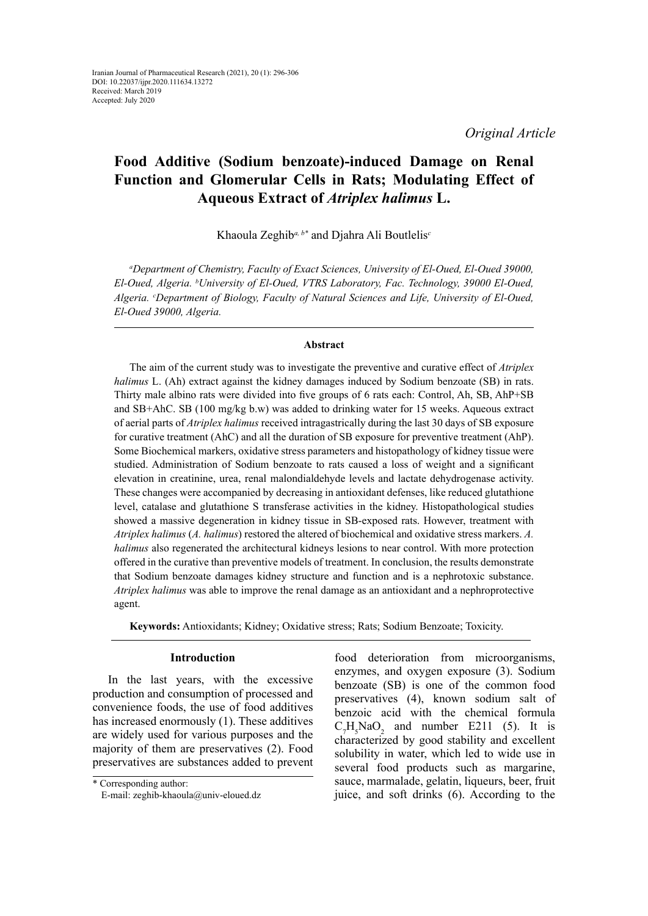# **Food Additive (Sodium benzoate)-induced Damage on Renal Function and Glomerular Cells in Rats; Modulating Effect of Aqueous Extract of** *Atriplex halimus* **L.**

Khaoula Zeghib*a, b\** and Djahra Ali Boutlelis*<sup>c</sup>*

*a Department of Chemistry, Faculty of Exact Sciences, University of El-Oued, El-Oued 39000, El-Oued, Algeria. b University of El-Oued, VTRS Laboratory, Fac. Technology, 39000 El-Oued, Algeria. c Department of Biology, Faculty of Natural Sciences and Life, University of El-Oued, El-Oued 39000, Algeria.*

# **Abstract**

The aim of the current study was to investigate the preventive and curative effect of *Atriplex halimus* L. (Ah) extract against the kidney damages induced by Sodium benzoate (SB) in rats. Thirty male albino rats were divided into five groups of 6 rats each: Control, Ah, SB, AhP+SB and SB+AhC. SB (100 mg/kg b.w) was added to drinking water for 15 weeks. Aqueous extract of aerial parts of *Atriplex halimus* received intragastrically during the last 30 days of SB exposure for curative treatment (AhC) and all the duration of SB exposure for preventive treatment (AhP). Some Biochemical markers, oxidative stress parameters and histopathology of kidney tissue were studied. Administration of Sodium benzoate to rats caused a loss of weight and a significant elevation in creatinine, urea, renal malondialdehyde levels and lactate dehydrogenase activity. These changes were accompanied by decreasing in antioxidant defenses, like reduced glutathione level, catalase and glutathione S transferase activities in the kidney. Histopathological studies showed a massive degeneration in kidney tissue in SB-exposed rats. However, treatment with *Atriplex halimus* (*A. halimus*) restored the altered of biochemical and oxidative stress markers. *A. halimus* also regenerated the architectural kidneys lesions to near control. With more protection offered in the curative than preventive models of treatment. In conclusion, the results demonstrate that Sodium benzoate damages kidney structure and function and is a nephrotoxic substance. *Atriplex halimus* was able to improve the renal damage as an antioxidant and a nephroprotective agent.

**Keywords:** Antioxidants; Kidney; Oxidative stress; Rats; Sodium Benzoate; Toxicity.

# **Introduction**

In the last years, with the excessive production and consumption of processed and convenience foods, the use of food additives has increased enormously (1). These additives are widely used for various purposes and the majority of them are preservatives (2). Food preservatives are substances added to prevent food deterioration from microorganisms,

<sup>\*</sup> Corresponding author: E-mail: zeghib-khaoula@univ-eloued.dz

enzymes, and oxygen exposure (3). Sodium benzoate (SB) is one of the common food preservatives (4), known sodium salt of benzoic acid with the chemical formula  $C_7H_5NaO_2$  and number E211 (5). It is characterized by good stability and excellent solubility in water, which led to wide use in several food products such as margarine, sauce, marmalade, gelatin, liqueurs, beer, fruit juice, and soft drinks (6). According to the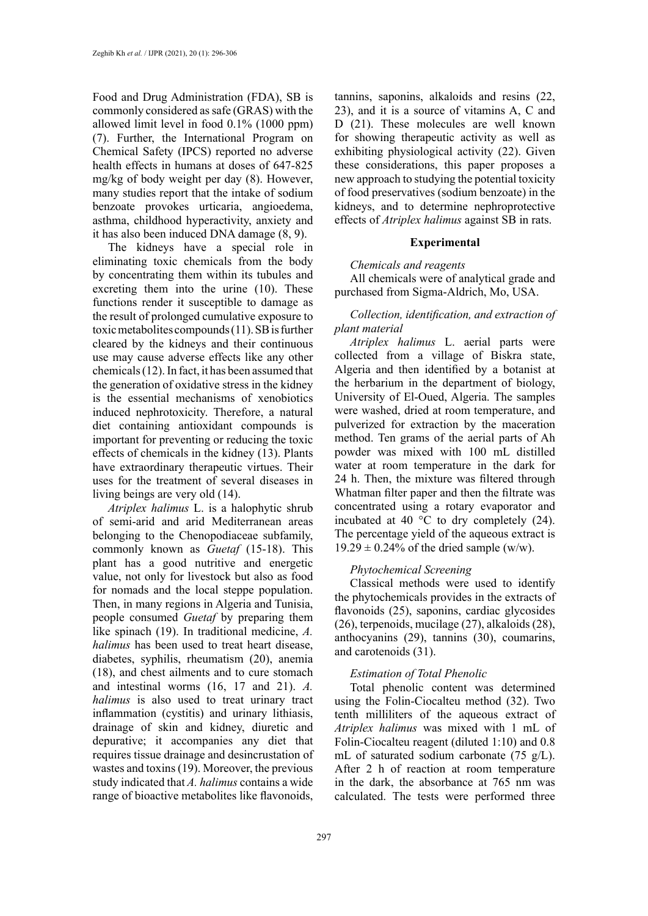Food and Drug Administration (FDA), SB is commonly considered as safe (GRAS) with the allowed limit level in food 0.1% (1000 ppm) (7). Further, the International Program on Chemical Safety (IPCS) reported no adverse health effects in humans at doses of 647-825 mg/kg of body weight per day (8). However, many studies report that the intake of sodium benzoate provokes urticaria, angioedema, asthma, childhood hyperactivity, anxiety and it has also been induced DNA damage (8, 9).

The kidneys have a special role in eliminating toxic chemicals from the body by concentrating them within its tubules and excreting them into the urine (10). These functions render it susceptible to damage as the result of prolonged cumulative exposure to toxic metabolites compounds (11). SB is further cleared by the kidneys and their continuous use may cause adverse effects like any other chemicals (12). In fact, it has been assumed that the generation of oxidative stress in the kidney is the essential mechanisms of xenobiotics induced nephrotoxicity. Therefore, a natural diet containing antioxidant compounds is important for preventing or reducing the toxic effects of chemicals in the kidney (13). Plants have extraordinary therapeutic virtues. Their uses for the treatment of several diseases in living beings are very old (14).

*Atriplex halimus* L. is a halophytic shrub of semi-arid and arid Mediterranean areas belonging to the Chenopodiaceae subfamily, commonly known as *Guetaf* (15-18). This plant has a good nutritive and energetic value, not only for livestock but also as food for nomads and the local steppe population. Then, in many regions in Algeria and Tunisia, people consumed *Guetaf* by preparing them like spinach (19). In traditional medicine, *A. halimus* has been used to treat heart disease, diabetes, syphilis, rheumatism (20), anemia (18), and chest ailments and to cure stomach and intestinal worms (16, 17 and 21). *A. halimus* is also used to treat urinary tract inflammation (cystitis) and urinary lithiasis, drainage of skin and kidney, diuretic and depurative; it accompanies any diet that requires tissue drainage and desincrustation of wastes and toxins (19). Moreover, the previous study indicated that *A. halimus* contains a wide range of bioactive metabolites like flavonoids,

tannins, saponins, alkaloids and resins (22, 23), and it is a source of vitamins A, C and D (21). These molecules are well known for showing therapeutic activity as well as exhibiting physiological activity (22). Given these considerations, this paper proposes a new approach to studying the potential toxicity of food preservatives (sodium benzoate) in the kidneys, and to determine nephroprotective effects of *Atriplex halimus* against SB in rats.

# **Experimental**

#### *Chemicals and reagents*

All chemicals were of analytical grade and purchased from Sigma-Aldrich, Mo, USA.

# *Collection, identification, and extraction of plant material*

*Atriplex halimus* L. aerial parts were collected from a village of Biskra state, Algeria and then identified by a botanist at the herbarium in the department of biology, University of El-Oued, Algeria. The samples were washed, dried at room temperature, and pulverized for extraction by the maceration method. Ten grams of the aerial parts of Ah powder was mixed with 100 mL distilled water at room temperature in the dark for 24 h. Then, the mixture was filtered through Whatman filter paper and then the filtrate was concentrated using a rotary evaporator and incubated at 40 °C to dry completely (24). The percentage yield of the aqueous extract is  $19.29 \pm 0.24\%$  of the dried sample (w/w).

# *Phytochemical Screening*

Classical methods were used to identify the phytochemicals provides in the extracts of flavonoids (25), saponins, cardiac glycosides (26), terpenoids, mucilage (27), alkaloids (28), anthocyanins (29), tannins (30), coumarins, and carotenoids (31).

# *Estimation of Total Phenolic*

Total phenolic content was determined using the Folin-Ciocalteu method (32). Two tenth milliliters of the aqueous extract of *Atriplex halimus* was mixed with 1 mL of Folin-Ciocalteu reagent (diluted 1:10) and 0.8 mL of saturated sodium carbonate (75 g/L). After 2 h of reaction at room temperature in the dark, the absorbance at 765 nm was calculated. The tests were performed three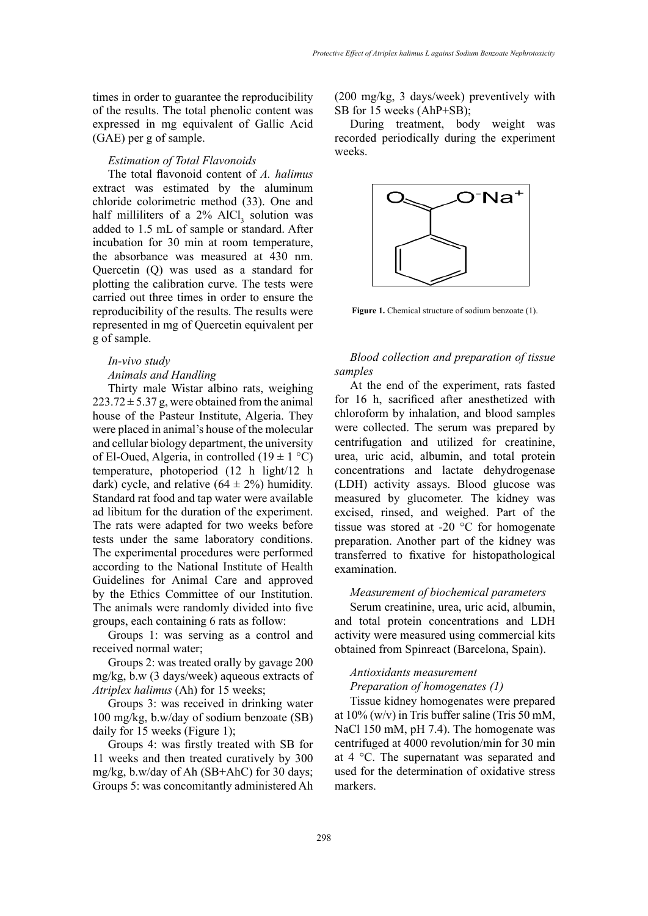times in order to guarantee the reproducibility of the results. The total phenolic content was expressed in mg equivalent of Gallic Acid (GAE) per g of sample.

### *Estimation of Total Flavonoids*

The total flavonoid content of *A. halimus* extract was estimated by the aluminum chloride colorimetric method (33). One and half milliliters of a  $2\%$  AlCl<sub>3</sub> solution was added to 1.5 mL of sample or standard. After incubation for 30 min at room temperature, the absorbance was measured at 430 nm. Quercetin (Q) was used as a standard for plotting the calibration curve. The tests were carried out three times in order to ensure the reproducibility of the results. The results were represented in mg of Quercetin equivalent per g of sample.

# *In-vivo study Animals and Handling*

Thirty male Wistar albino rats, weighing  $223.72 \pm 5.37$  g, were obtained from the animal house of the Pasteur Institute, Algeria. They were placed in animal's house of the molecular and cellular biology department, the university of El-Oued, Algeria, in controlled (19  $\pm$  1 °C) temperature, photoperiod (12 h light/12 h dark) cycle, and relative  $(64 \pm 2\%)$  humidity. Standard rat food and tap water were available ad libitum for the duration of the experiment. The rats were adapted for two weeks before tests under the same laboratory conditions. The experimental procedures were performed according to the National Institute of Health Guidelines for Animal Care and approved by the Ethics Committee of our Institution. The animals were randomly divided into five groups, each containing 6 rats as follow:

Groups 1: was serving as a control and received normal water;

Groups 2: was treated orally by gavage 200 mg/kg, b.w (3 days/week) aqueous extracts of *Atriplex halimus* (Ah) for 15 weeks;

Groups 3: was received in drinking water 100 mg/kg, b.w/day of sodium benzoate (SB) daily for 15 weeks (Figure 1);

Groups 4: was firstly treated with SB for 11 weeks and then treated curatively by 300 mg/kg, b.w/day of Ah (SB+AhC) for 30 days; Groups 5: was concomitantly administered Ah (200 mg/kg, 3 days/week) preventively with SB for 15 weeks (AhP+SB);

During treatment, body weight was recorded periodically during the experiment weeks.



**Figure 1.** Chemical structure of sodium benzoate (1).

# *Blood collection and preparation of tissue samples*

At the end of the experiment, rats fasted for 16 h, sacrificed after anesthetized with chloroform by inhalation, and blood samples were collected. The serum was prepared by centrifugation and utilized for creatinine, urea, uric acid, albumin, and total protein concentrations and lactate dehydrogenase (LDH) activity assays. Blood glucose was measured by glucometer. The kidney was excised, rinsed, and weighed. Part of the tissue was stored at -20 °C for homogenate preparation. Another part of the kidney was transferred to fixative for histopathological examination.

# *Measurement of biochemical parameters*

Serum creatinine, urea, uric acid, albumin, and total protein concentrations and LDH activity were measured using commercial kits obtained from Spinreact (Barcelona, Spain).

# *Antioxidants measurement Preparation of homogenates (1)*

Tissue kidney homogenates were prepared at  $10\%$  (w/v) in Tris buffer saline (Tris 50 mM, NaCl 150 mM, pH 7.4). The homogenate was centrifuged at 4000 revolution/min for 30 min at 4 °C. The supernatant was separated and used for the determination of oxidative stress markers.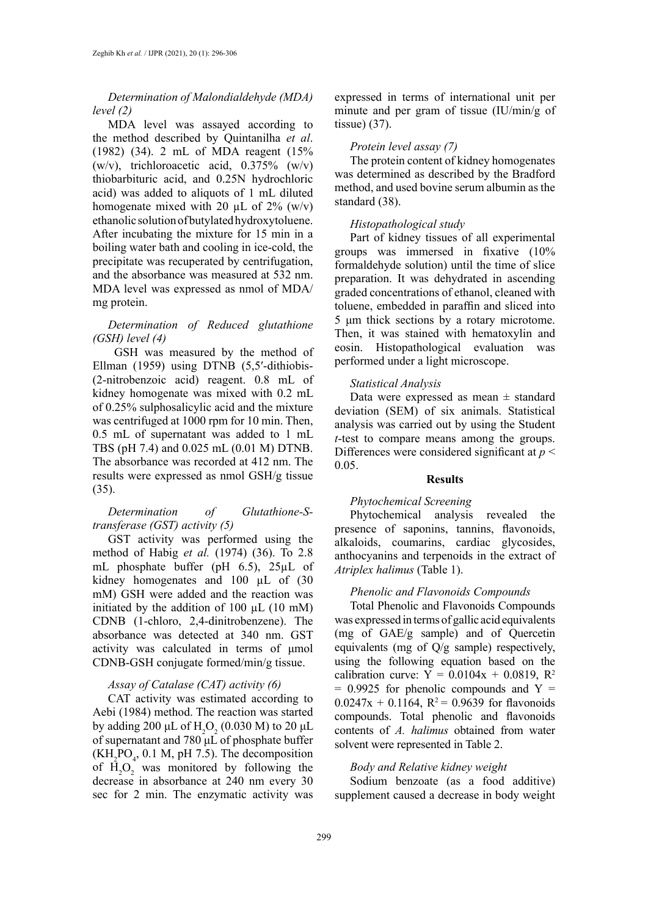# *Determination of Malondialdehyde (MDA) level (2)*

MDA level was assayed according to the method described by Quintanilha *et al*. (1982) (34). 2 mL of MDA reagent (15%  $(w/v)$ , trichloroacetic acid, 0.375%  $(w/v)$ thiobarbituric acid, and 0.25N hydrochloric acid) was added to aliquots of 1 mL diluted homogenate mixed with 20  $\mu$ L of 2% (w/v) ethanolic solution of butylated hydroxytoluene. After incubating the mixture for 15 min in a boiling water bath and cooling in ice-cold, the precipitate was recuperated by centrifugation, and the absorbance was measured at 532 nm. MDA level was expressed as nmol of MDA/ mg protein.

# *Determination of Reduced glutathione (GSH) level (4)*

GSH was measured by the method of Ellman (1959) using DTNB (5,5′-dithiobis- (2-nitrobenzoic acid) reagent. 0.8 mL of kidney homogenate was mixed with 0.2 mL of 0.25% sulphosalicylic acid and the mixture was centrifuged at 1000 rpm for 10 min. Then, 0.5 mL of supernatant was added to 1 mL TBS (pH 7.4) and 0.025 mL (0.01 M) DTNB. The absorbance was recorded at 412 nm. The results were expressed as nmol GSH/g tissue (35).

# *Determination of Glutathione-Stransferase (GST) activity (5)*

GST activity was performed using the method of Habig *et al.* (1974) (36). To 2.8 mL phosphate buffer (pH 6.5), 25µL of kidney homogenates and 100 µL of (30 mM) GSH were added and the reaction was initiated by the addition of 100  $\mu$ L (10 mM) CDNB (1-chloro, 2,4-dinitrobenzene). The absorbance was detected at 340 nm. GST activity was calculated in terms of μmol CDNB-GSH conjugate formed/min/g tissue.

# *Assay of Catalase (CAT) activity (6)*

CAT activity was estimated according to Aebi (1984) method. The reaction was started by adding 200 μL of  $H_2O_2$  (0.030 M) to 20 μL of supernatant and 780 μL of phosphate buffer  $(KH<sub>2</sub>PO<sub>4</sub>, 0.1 M, pH 7.5)$ . The decomposition of  $H_2O_2$  was monitored by following the decrease in absorbance at 240 nm every 30 sec for 2 min. The enzymatic activity was

expressed in terms of international unit per minute and per gram of tissue (IU/min/g of tissue) (37).

# *Protein level assay (7)*

The protein content of kidney homogenates was determined as described by the Bradford method, and used bovine serum albumin as the standard (38).

# *Histopathological study*

Part of kidney tissues of all experimental groups was immersed in fixative (10% formaldehyde solution) until the time of slice preparation. It was dehydrated in ascending graded concentrations of ethanol, cleaned with toluene, embedded in paraffin and sliced into 5 μm thick sections by a rotary microtome. Then, it was stained with hematoxylin and eosin. Histopathological evaluation was performed under a light microscope.

#### *Statistical Analysis*

Data were expressed as mean  $\pm$  standard deviation (SEM) of six animals. Statistical analysis was carried out by using the Student *t*-test to compare means among the groups. Differences were considered significant at *p* < 0.05.

## **Results**

## *Phytochemical Screening*

Phytochemical analysis revealed the presence of saponins, tannins, flavonoids, alkaloids, coumarins, cardiac glycosides, anthocyanins and terpenoids in the extract of *Atriplex halimus* (Table 1).

# *Phenolic and Flavonoids Compounds*

Total Phenolic and Flavonoids Compounds was expressed in terms of gallic acid equivalents (mg of GAE/g sample) and of Quercetin equivalents (mg of Q/g sample) respectively, using the following equation based on the calibration curve:  $Y = 0.0104x + 0.0819$ ,  $R^2$  $= 0.9925$  for phenolic compounds and Y  $=$  $0.0247x + 0.1164$ ,  $R^2 = 0.9639$  for flavonoids compounds. Total phenolic and flavonoids contents of *A. halimus* obtained from water solvent were represented in Table 2.

## *Body and Relative kidney weight*

Sodium benzoate (as a food additive) supplement caused a decrease in body weight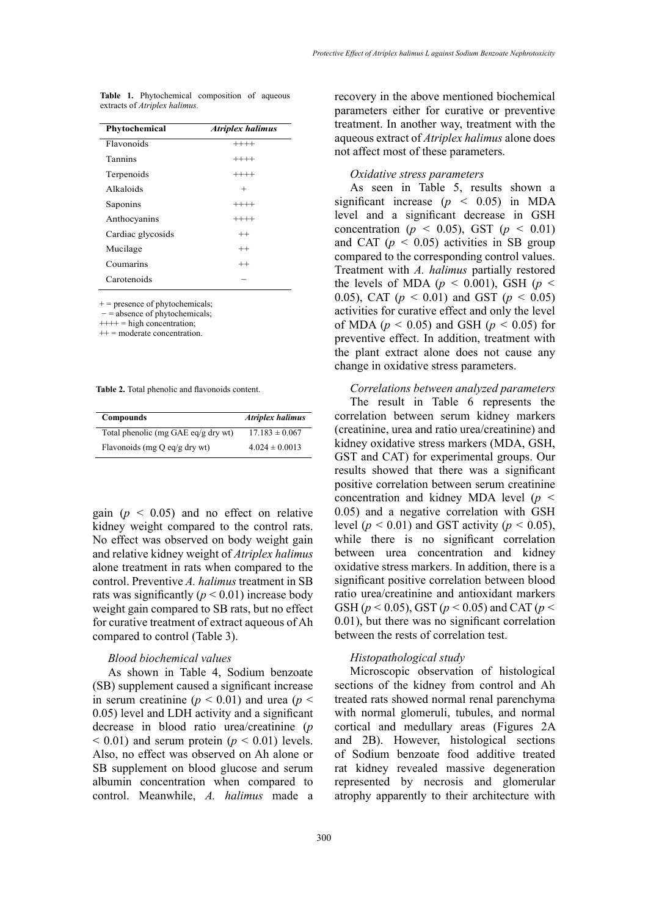| Phytochemical     | <b>Atriplex halimus</b> |
|-------------------|-------------------------|
| Flavonoids        | $+++++$                 |
| Tannins           | $++++$                  |
| Terpenoids        | $++++$                  |
| Alkaloids         | $^{+}$                  |
| Saponins          | $+++++$                 |
| Anthocyanins      | $++++$                  |
| Cardiac glycosids | $^{++}$                 |
| Mucilage          | $^{++}$                 |
| Coumarins         | $^{++}$                 |
| Carotenoids       |                         |

**Table 1.** Phytochemical composition of aqueous extracts of *Atriplex halimus.*

 $+$  = presence of phytochemicals;

− = absence of phytochemicals;

 $++++$  = high concentration;

++ = moderate concentration.

**Table 2.** Total phenolic and flavonoids content. **Table 2.** Total phenolic and flavonoids content.

| <b>Compounds</b>                    | <b>Atriplex halimus</b> |
|-------------------------------------|-------------------------|
| Total phenolic (mg GAE eq/g dry wt) | $17.183 \pm 0.067$      |
| Flavonoids (mg Q eq/g dry wt)       | $4.024 \pm 0.0013$      |

gain  $(p \leq 0.05)$  and no effect on relative kidney weight compared to the control rats. No effect was observed on body weight gain and relative kidney weight of *Atriplex halimus* alone treatment in rats when compared to the control. Preventive *A. halimus* treatment in SB rats was significantly  $(p < 0.01)$  increase body weight gain compared to SB rats, but no effect for curative treatment of extract aqueous of Ah compared to control (Table 3).

#### *Blood biochemical values*

As shown in Table 4, Sodium benzoate (SB) supplement caused a significant increase in serum creatinine ( $p < 0.01$ ) and urea ( $p <$ 0.05) level and LDH activity and a significant decrease in blood ratio urea/creatinine (*p*  $< 0.01$ ) and serum protein ( $p < 0.01$ ) levels. Also, no effect was observed on Ah alone or SB supplement on blood glucose and serum albumin concentration when compared to control. Meanwhile, *A. halimus* made a

recovery in the above mentioned biochemical parameters either for curative or preventive treatment. In another way, treatment with the aqueous extract of *Atriplex halimus* alone does not affect most of these parameters.

#### *Oxidative stress parameters*

As seen in Table 5, results shown a significant increase  $(p \lt 0.05)$  in MDA level and a significant decrease in GSH concentration ( $p \le 0.05$ ), GST ( $p \le 0.01$ ) and CAT  $(p < 0.05)$  activities in SB group compared to the corresponding control values. Treatment with *A. halimus* partially restored the levels of MDA ( $p < 0.001$ ), GSH ( $p <$ 0.05), CAT ( $p < 0.01$ ) and GST ( $p < 0.05$ ) activities for curative effect and only the level of MDA ( $p < 0.05$ ) and GSH ( $p < 0.05$ ) for preventive effect. In addition, treatment with the plant extract alone does not cause any change in oxidative stress parameters.

#### *Correlations between analyzed parameters*

The result in Table 6 represents the correlation between serum kidney markers (creatinine, urea and ratio urea/creatinine) and kidney oxidative stress markers (MDA, GSH, GST and CAT) for experimental groups. Our results showed that there was a significant positive correlation between serum creatinine concentration and kidney MDA level (*p <*  0.05) and a negative correlation with GSH level ( $p < 0.01$ ) and GST activity ( $p < 0.05$ ), while there is no significant correlation between urea concentration and kidney oxidative stress markers. In addition, there is a significant positive correlation between blood ratio urea/creatinine and antioxidant markers GSH (*p <* 0.05), GST (*p <* 0.05) and CAT (*p <*  0.01), but there was no significant correlation between the rests of correlation test.

#### *Histopathological study*

Microscopic observation of histological sections of the kidney from control and Ah treated rats showed normal renal parenchyma with normal glomeruli, tubules, and normal cortical and medullary areas (Figures 2A and 2B). However, histological sections of Sodium benzoate food additive treated rat kidney revealed massive degeneration represented by necrosis and glomerular atrophy apparently to their architecture with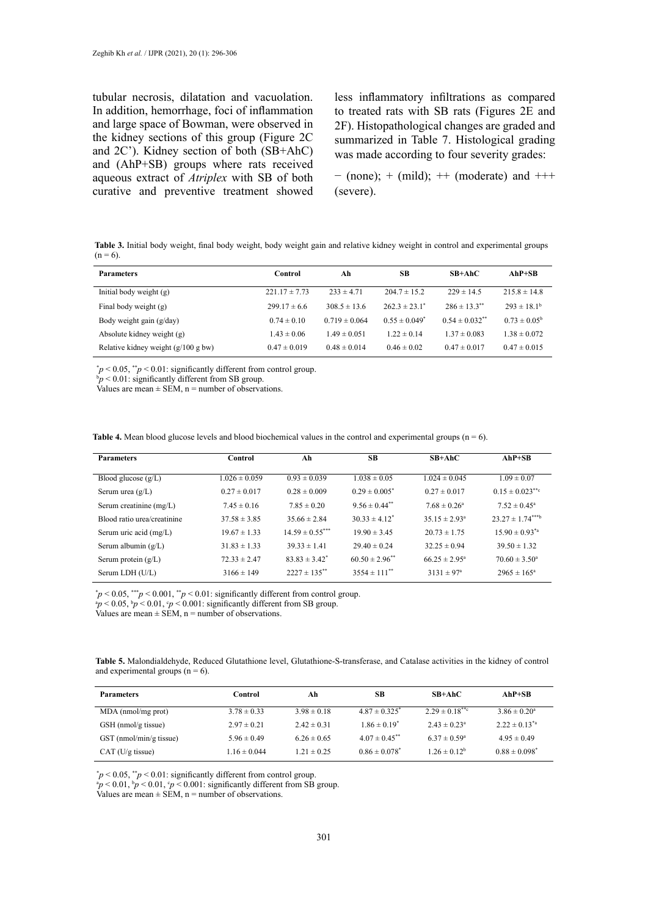tubular necrosis, dilatation and vacuolation. In addition, hemorrhage, foci of inflammation and large space of Bowman, were observed in the kidney sections of this group (Figure 2C and 2C'). Kidney section of both (SB+AhC) and (AhP+SB) groups where rats received aqueous extract of *Atriplex* with SB of both curative and preventive treatment showed

less inflammatory infiltrations as compared to treated rats with SB rats (Figures 2E and 2F). Histopathological changes are graded and summarized in Table 7. Histological grading was made according to four severity grades:

− (none); + (mild); ++ (moderate) and +++ (severe).

 $T_a = 6$ . **In**  $T_b = 6$ . **In the gain and relative kidney weight in control and experimental groups (n = 6). Table 3.** Initial body weight, final body weight, body weight gain and relative kidney weight in control and experimental groups  $(n = 6)$ .

| <b>Parameters</b>                      | Control           | Ah                | SВ                            | $SB+AbC$                     | $AhP+SB$                |
|----------------------------------------|-------------------|-------------------|-------------------------------|------------------------------|-------------------------|
| Initial body weight (g)                | $221.17 \pm 7.73$ | $233 \pm 4.71$    | $204.7 \pm 15.2$              | $229 \pm 14.5$               | $215.8 \pm 14.8$        |
| Final body weight (g)                  | $299.17 \pm 6.6$  | $308.5 \pm 13.6$  | $262.3 \pm 23.1$ <sup>*</sup> | $286 \pm 13.3$ <sup>**</sup> | $293 \pm 18.1^{\circ}$  |
| Body weight gain (g/day)               | $0.74 \pm 0.10$   | $0.719 \pm 0.064$ | $0.55 \pm 0.049$ <sup>*</sup> | $0.54 \pm 0.032$ **          | $0.73 \pm 0.05^{\circ}$ |
| Absolute kidney weight (g)             | $1.43 \pm 0.06$   | $1.49 \pm 0.051$  | $1.22 \pm 0.14$               | $1.37 \pm 0.083$             | $1.38 \pm 0.072$        |
| Relative kidney weight $(g/100 g)$ bw) | $0.47 \pm 0.019$  | $0.48 \pm 0.014$  | $0.46 \pm 0.02$               | $0.47 \pm 0.017$             | $0.47 \pm 0.015$        |

 $p < 0.05$ , \*\**p* < 0.01: significantly different from control group.

 $p \leq 0.01$ : significantly different from SB g  $bp < 0.01$ : significantly different from SB group.

values are mean  $\pm$  SEN,  $n =$  number of observations. Values are mean  $\pm$  SEM, n = number of observations.

**Table 4.** Mean blood glucose levels and blood biochemical values in the control and experimental groups  $(n = 6)$ .

| <b>Parameters</b>           | Control           | Ah                   | <b>SB</b>                     | $SB+AhC$                 | $AhP+SB$                         |
|-----------------------------|-------------------|----------------------|-------------------------------|--------------------------|----------------------------------|
|                             |                   |                      |                               |                          |                                  |
| Blood glucose $(g/L)$       | $1.026 \pm 0.059$ | $0.93 \pm 0.039$     | $1.038 \pm 0.05$              | $1.024 \pm 0.045$        | $1.09 \pm 0.07$                  |
| Serum urea $(g/L)$          | $0.27 \pm 0.017$  | $0.28 \pm 0.009$     | $0.29 \pm 0.005$ <sup>*</sup> | $0.27 \pm 0.017$         | $0.15 \pm 0.023$ <sup>**</sup> c |
| Serum creatinine (mg/L)     | $7.45 \pm 0.16$   | $7.85 \pm 0.20$      | $9.56 \pm 0.44$ <sup>**</sup> | $7.68 \pm 0.26^a$        | $7.52 \pm 0.45^{\circ}$          |
| Blood ratio urea/creatinine | $37.58 \pm 3.85$  | $35.66 \pm 2.84$     | $30.33 \pm 4.12^*$            | $35.15 \pm 2.93^{\circ}$ | $23.27 \pm 1.74***$              |
| Serum uric acid (mg/L)      | $19.67 \pm 1.33$  | $14.59 \pm 0.55$ *** | $19.90 \pm 3.45$              | $20.73 \pm 1.75$         | $15.90 \pm 0.93^{*a}$            |
| Serum albumin $(g/L)$       | $31.83 \pm 1.33$  | $39.33 \pm 1.41$     | $29.40 \pm 0.24$              | $32.25 \pm 0.94$         | $39.50 \pm 1.32$                 |
| Serum protein $(g/L)$       | $72.33 \pm 2.47$  | $83.83 \pm 3.42^*$   | $60.50 \pm 2.96$ **           | $66.25 \pm 2.95^{\circ}$ | $70.60 \pm 3.50^{\circ}$         |
| Serum LDH (U/L)             | $3166 \pm 149$    | $2227 \pm 135$ **    | $3554 \pm 111$ <sup>**</sup>  | $3131 \pm 97^{\circ}$    | $2965 \pm 165^{\circ}$           |

\* *p* < 0.05, \*\*\**p* < 0.001, \*\**p* < 0.01: significantly different from control group.

 $\frac{p}{p}$   $\frac{p}{\sqrt{p}}$   $\frac{p}{\sqrt{p}}$   $\frac{p}{\sqrt{p}}$   $\frac{p}{\sqrt{p}}$   $\frac{p}{\sqrt{p}}$   $\frac{p}{\sqrt{p}}$   $\frac{p}{\sqrt{p}}$   $\frac{p}{\sqrt{p}}$   $\frac{p}{\sqrt{p}}$   $\frac{p}{\sqrt{p}}$   $\frac{p}{\sqrt{p}}$   $\frac{p}{\sqrt{p}}$   $\frac{p}{\sqrt{p}}$   $\frac{p}{\sqrt{p}}$   $\frac{p}{\sqrt{p}}$   $\frac{p}{\sqrt{p}}$   $\frac$ 

Values are mean  $\pm$  SEM, n = number of observations.

Table 5. Malondialdehyde, Reduced Glutathione level, Glutathione-S-transferase, and Catalase activities in the kidney of control and experimental groups  $(n = 6)$ .

| <b>Parameters</b>       | Control          | Аh              | SВ                            | SB+AhC                        | $AhP+SB$                         |
|-------------------------|------------------|-----------------|-------------------------------|-------------------------------|----------------------------------|
| MDA (nmol/mg prot)      | $3.78 \pm 0.33$  | $3.98 \pm 0.18$ | $4.87 \pm 0.325$ <sup>*</sup> | $2.29 \pm 0.18$ <sup>**</sup> | $3.86 \pm 0.20^a$                |
| GSH (nmol/g tissue)     | $2.97 \pm 0.21$  | $2.42 \pm 0.31$ | $1.86 \pm 0.19^*$             | $2.43 \pm 0.23^{\circ}$       | $2.22 \pm 0.13^{*}$ <sup>a</sup> |
| GST (nmol/min/g tissue) | $5.96 \pm 0.49$  | $6.26 \pm 0.65$ | $4.07 \pm 0.45$ <sup>**</sup> | $6.37 \pm 0.59^{\circ}$       | $4.95 \pm 0.49$                  |
| CAT (U/g tissue)        | $1.16 \pm 0.044$ | $1.21 \pm 0.25$ | $0.86 \pm 0.078$ <sup>*</sup> | $1.26 \pm 0.12^b$             | $0.88 \pm 0.098$ <sup>*</sup>    |

 $p < 0.05$ ,  $\frac{p}{q} < 0.01$ : significantly different from control group.

 $a_p < 0.01$ ,  $b_p < 0.01$ ,  $c_p < 0.001$ : significantly different from SB group.

Values are mean  $\pm$  SEM, n = number of observations.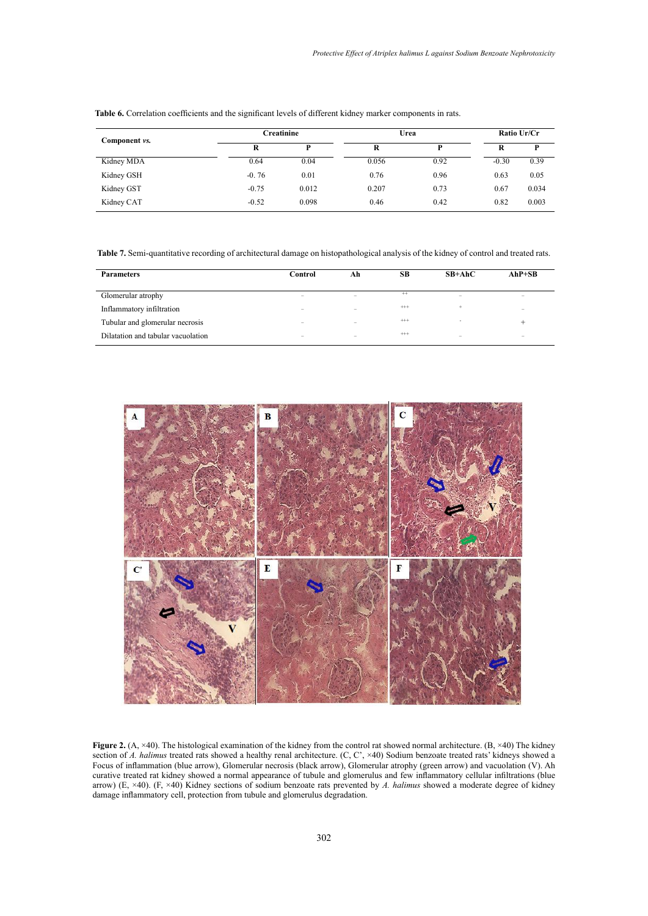| Component vs. |         | Creatinine |       | Urea |         |       |
|---------------|---------|------------|-------|------|---------|-------|
|               | R       | D          | R     | P    | R       | D     |
| Kidney MDA    | 0.64    | 0.04       | 0.056 | 0.92 | $-0.30$ | 0.39  |
| Kidney GSH    | $-0.76$ | 0.01       | 0.76  | 0.96 | 0.63    | 0.05  |
| Kidney GST    | $-0.75$ | 0.012      | 0.207 | 0.73 | 0.67    | 0.034 |
| Kidney CAT    | $-0.52$ | 0.098      | 0.46  | 0.42 | 0.82    | 0.003 |

Table 6. Correlation coefficients and the significant levels of different kidney marker components in rats.

Table 7. Semi-quantitative recording of architectural damage on histopathological analysis of the kidney of control and treated rats.

| <b>Parameters</b>                  | Control                  | Ah                       | SВ       | $SB+AbC$                 | $AhP+SB$                 |
|------------------------------------|--------------------------|--------------------------|----------|--------------------------|--------------------------|
|                                    |                          |                          |          |                          |                          |
| Glomerular atrophy                 | $\overline{\phantom{a}}$ | $\overline{\phantom{a}}$ | $^{++}$  | -                        | $\overline{\phantom{a}}$ |
| Inflammatory infiltration          | -                        | $\overline{\phantom{a}}$ | $^{+++}$ | ÷                        |                          |
| Tubular and glomerular necrosis    | -                        | $\overline{\phantom{a}}$ | $^{+++}$ | $\overline{\phantom{a}}$ | +                        |
| Dilatation and tabular vacuolation | -                        | $\overline{\phantom{a}}$ | $^{+++}$ | -                        | $\overline{\phantom{a}}$ |



 $\lambda$  (A,  $\times$ 40) The histological avamination of the kidney from the control rat showed normal architecture. (B,  $\times$ 40) The of A. halimus treated rats showed a healthy renal architecture. (C, C',  $\times$ 40) Sodium benzoate treated rats' kidneys sh curative treated rat kidney showed a normal appearance of tubule and glomerulus and few inflammatory cellular infiltrations (blue arrow) (E,  $\times$ 40). (F,  $\times$ 40) Kidney sections of sodium benzoate rats prevented by A. halimus showed a moderate degree of kidney damage inflammatory cell, protection from tubule and glomerulus degradation. **Figure 2.** (A, ×40). The histological examination of the kidney from the control rat showed normal architecture. (B, ×40) The kidney section of *A. halimus* treated rats showed a healthy renal architecture. (C, C',  $\times$ 40) Sodium benzoate treated rats' kidneys showed a Focus of inflammation (blue arrow), Glomerular necrosis (black arrow), Glomerular atrophy (green arrow) and vacuolation (V). Ah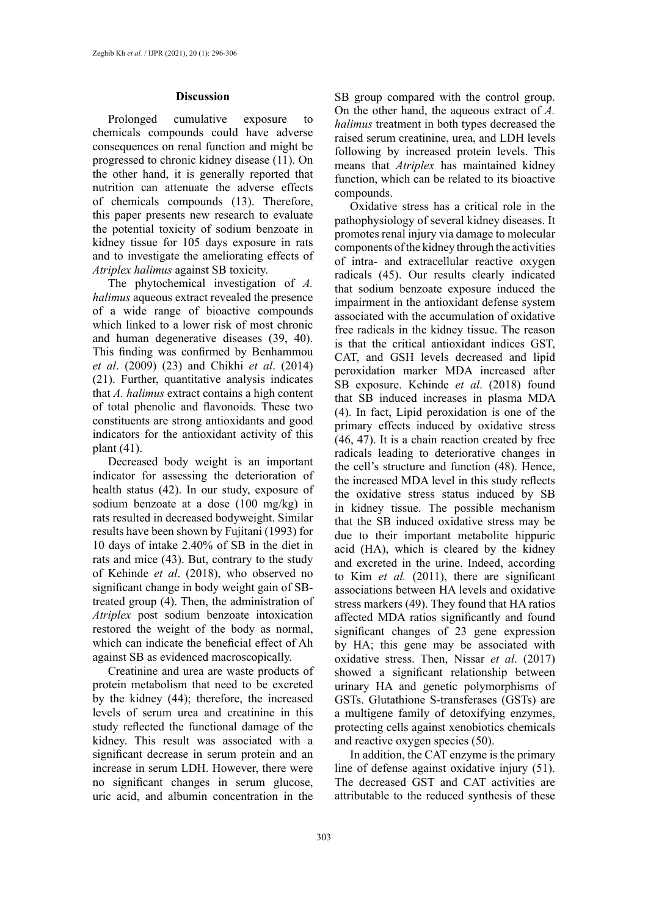#### **Discussion**

Prolonged cumulative exposure to chemicals compounds could have adverse consequences on renal function and might be progressed to chronic kidney disease (11). On the other hand, it is generally reported that nutrition can attenuate the adverse effects of chemicals compounds (13). Therefore, this paper presents new research to evaluate the potential toxicity of sodium benzoate in kidney tissue for 105 days exposure in rats and to investigate the ameliorating effects of *Atriplex halimus* against SB toxicity.

The phytochemical investigation of *A. halimus* aqueous extract revealed the presence of a wide range of bioactive compounds which linked to a lower risk of most chronic and human degenerative diseases (39, 40). This finding was confirmed by Benhammou *et al*. (2009) (23) and Chikhi *et al*. (2014) (21). Further, quantitative analysis indicates that *A. halimus* extract contains a high content of total phenolic and flavonoids. These two constituents are strong antioxidants and good indicators for the antioxidant activity of this plant (41).

Decreased body weight is an important indicator for assessing the deterioration of health status (42). In our study, exposure of sodium benzoate at a dose (100 mg/kg) in rats resulted in decreased bodyweight. Similar results have been shown by Fujitani (1993) for 10 days of intake 2.40% of SB in the diet in rats and mice (43). But, contrary to the study of Kehinde *et al*. (2018), who observed no significant change in body weight gain of SBtreated group (4). Then, the administration of *Atriplex* post sodium benzoate intoxication restored the weight of the body as normal, which can indicate the beneficial effect of Ah against SB as evidenced macroscopically.

Creatinine and urea are waste products of protein metabolism that need to be excreted by the kidney (44); therefore, the increased levels of serum urea and creatinine in this study reflected the functional damage of the kidney. This result was associated with a significant decrease in serum protein and an increase in serum LDH. However, there were no significant changes in serum glucose, uric acid, and albumin concentration in the

SB group compared with the control group. On the other hand, the aqueous extract of *A. halimus* treatment in both types decreased the raised serum creatinine, urea, and LDH levels following by increased protein levels. This means that *Atriplex* has maintained kidney function, which can be related to its bioactive compounds.

Oxidative stress has a critical role in the pathophysiology of several kidney diseases. It promotes renal injury via damage to molecular components of the kidney through the activities of intra- and extracellular reactive oxygen radicals (45). Our results clearly indicated that sodium benzoate exposure induced the impairment in the antioxidant defense system associated with the accumulation of oxidative free radicals in the kidney tissue. The reason is that the critical antioxidant indices GST, CAT, and GSH levels decreased and lipid peroxidation marker MDA increased after SB exposure. Kehinde *et al*. (2018) found that SB induced increases in plasma MDA (4). In fact, Lipid peroxidation is one of the primary effects induced by oxidative stress (46, 47). It is a chain reaction created by free radicals leading to deteriorative changes in the cell's structure and function (48). Hence, the increased MDA level in this study reflects the oxidative stress status induced by SB in kidney tissue. The possible mechanism that the SB induced oxidative stress may be due to their important metabolite hippuric acid (HA), which is cleared by the kidney and excreted in the urine. Indeed, according to Kim *et al.* (2011), there are significant associations between HA levels and oxidative stress markers (49). They found that HA ratios affected MDA ratios significantly and found significant changes of 23 gene expression by HA; this gene may be associated with oxidative stress. Then, Nissar *et al*. (2017) showed a significant relationship between urinary HA and genetic polymorphisms of GSTs. Glutathione S-transferases (GSTs) are a multigene family of detoxifying enzymes, protecting cells against xenobiotics chemicals and reactive oxygen species (50).

In addition, the CAT enzyme is the primary line of defense against oxidative injury (51). The decreased GST and CAT activities are attributable to the reduced synthesis of these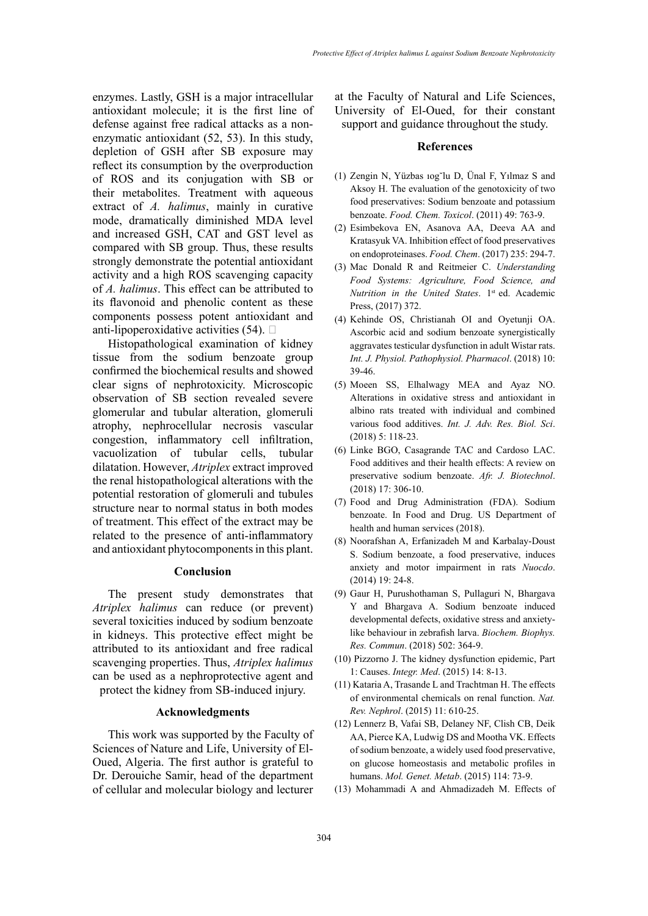enzymes. Lastly, GSH is a major intracellular antioxidant molecule; it is the first line of defense against free radical attacks as a nonenzymatic antioxidant (52, 53). In this study, depletion of GSH after SB exposure may reflect its consumption by the overproduction of ROS and its conjugation with SB or their metabolites. Treatment with aqueous extract of *A. halimus*, mainly in curative mode, dramatically diminished MDA level and increased GSH, CAT and GST level as compared with SB group. Thus, these results strongly demonstrate the potential antioxidant activity and a high ROS scavenging capacity of *A. halimus*. This effect can be attributed to its flavonoid and phenolic content as these components possess potent antioxidant and anti-lipoperoxidative activities  $(54)$ .

Histopathological examination of kidney tissue from the sodium benzoate group confirmed the biochemical results and showed clear signs of nephrotoxicity. Microscopic observation of SB section revealed severe glomerular and tubular alteration, glomeruli atrophy, nephrocellular necrosis vascular congestion, inflammatory cell infiltration, vacuolization of tubular cells, tubular dilatation. However, *Atriplex* extract improved the renal histopathological alterations with the potential restoration of glomeruli and tubules structure near to normal status in both modes of treatment. This effect of the extract may be related to the presence of anti-inflammatory and antioxidant phytocomponents in this plant.

# **Conclusion**

The present study demonstrates that *Atriplex halimus* can reduce (or prevent) several toxicities induced by sodium benzoate in kidneys. This protective effect might be attributed to its antioxidant and free radical scavenging properties. Thus, *Atriplex halimus* can be used as a nephroprotective agent and protect the kidney from SB-induced injury.

# **Acknowledgments**

This work was supported by the Faculty of Sciences of Nature and Life, University of El-Oued, Algeria. The first author is grateful to Dr. Derouiche Samir, head of the department of cellular and molecular biology and lecturer

at the Faculty of Natural and Life Sciences, University of El-Oued, for their constant support and guidance throughout the study.

#### **References**

- (1) Zengin N, Yüzbas ıog˘lu D, Ünal F, Yılmaz S and Aksoy H. The evaluation of the genotoxicity of two food preservatives: Sodium benzoate and potassium benzoate. *Food. Chem. Toxicol*. (2011) 49: 763-9.
- (2) Esimbekova EN, Asanova AA, Deeva AA and Kratasyuk VA. Inhibition effect of food preservatives on endoproteinases. *Food. Chem*. (2017) 235: 294-7.
- (3) Mac Donald R and Reitmeier C. *Understanding Food Systems: Agriculture, Food Science, and Nutrition in the United States*. 1<sup>st</sup> ed. Academic Press, (2017) 372.
- (4) Kehinde OS, Christianah OI and Oyetunji OA. Ascorbic acid and sodium benzoate synergistically aggravates testicular dysfunction in adult Wistar rats. *Int. J. Physiol. Pathophysiol. Pharmacol*. (2018) 10: 39-46.
- (5) Moeen SS, Elhalwagy MEA and Ayaz NO. Alterations in oxidative stress and antioxidant in albino rats treated with individual and combined various food additives. *Int. J. Adv. Res. Biol. Sci*. (2018) 5: 118-23.
- (6) Linke BGO, Casagrande TAC and Cardoso LAC. Food additives and their health effects: A review on preservative sodium benzoate. *Afr. J. Biotechnol*. (2018) 17: 306-10.
- (7) Food and Drug Administration (FDA). Sodium benzoate. In Food and Drug. US Department of health and human services (2018).
- (8) Noorafshan A, Erfanizadeh M and Karbalay-Doust S. Sodium benzoate, a food preservative, induces anxiety and motor impairment in rats *Nuocdo*. (2014) 19: 24-8.
- (9) Gaur H, Purushothaman S, Pullaguri N, Bhargava Y and Bhargava A. Sodium benzoate induced developmental defects, oxidative stress and anxietylike behaviour in zebrafish larva. *Biochem. Biophys. Res. Commun*. (2018) 502: 364-9.
- (10) Pizzorno J. The kidney dysfunction epidemic, Part 1: Causes. *Integr. Med*. (2015) 14: 8-13.
- (11) Kataria A, Trasande L and Trachtman H. The effects of environmental chemicals on renal function. *Nat. Rev. Nephrol*. (2015) 11: 610-25.
- (12) Lennerz B, Vafai SB, Delaney NF, Clish CB, Deik AA, Pierce KA, Ludwig DS and Mootha VK. Effects of sodium benzoate, a widely used food preservative, on glucose homeostasis and metabolic profiles in humans. *Mol. Genet. Metab*. (2015) 114: 73-9.
- (13) Mohammadi A and Ahmadizadeh M. Effects of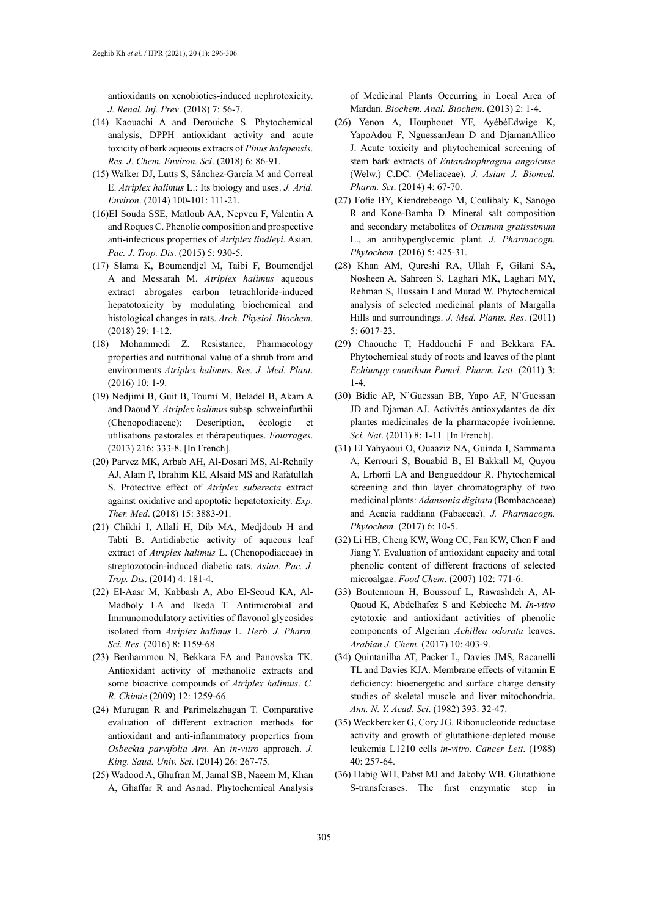antioxidants on xenobiotics-induced nephrotoxicity. *J. Renal. Inj. Prev*. (2018) 7: 56-7.

- (14) Kaouachi A and Derouiche S. Phytochemical analysis, DPPH antioxidant activity and acute toxicity of bark aqueous extracts of *Pinus halepensis*. *Res. J. Chem. Environ. Sci*. (2018) 6: 86-91.
- (15) Walker DJ, Lutts S, Sánchez-García M and Correal E. *Atriplex halimus* L.: Its biology and uses. *J. Arid. Environ*. (2014) 100-101: 111-21.
- (16)El Souda SSE, Matloub AA, Nepveu F, Valentin A and Roques C. Phenolic composition and prospective anti-infectious properties of *Atriplex lindleyi*. Asian. *Pac. J. Trop. Dis*. (2015) 5: 930-5.
- (17) Slama K, Boumendjel M, Taibi F, Boumendjel A and Messarah M. *Atriplex halimus* aqueous extract abrogates carbon tetrachloride-induced hepatotoxicity by modulating biochemical and histological changes in rats. *Arch. Physiol. Biochem*. (2018) 29: 1-12.
- (18) Mohammedi Z. Resistance, Pharmacology properties and nutritional value of a shrub from arid environments *Atriplex halimus*. *Res. J. Med. Plant*. (2016) 10: 1-9.
- (19) Nedjimi B, Guit B, Toumi M, Beladel B, Akam A and Daoud Y. *Atriplex halimus* subsp. schweinfurthii (Chenopodiaceae): Description, écologie et utilisations pastorales et thérapeutiques. *Fourrages*. (2013) 216: 333-8. [In French].
- (20) Parvez MK, Arbab AH, Al-Dosari MS, Al-Rehaily AJ, Alam P, Ibrahim KE, Alsaid MS and Rafatullah S. Protective effect of *Atriplex suberecta* extract against oxidative and apoptotic hepatotoxicity. *Exp. Ther. Med*. (2018) 15: 3883-91.
- (21) Chikhi I, Allali H, Dib MA, Medjdoub H and Tabti B. Antidiabetic activity of aqueous leaf extract of *Atriplex halimus* L. (Chenopodiaceae) in streptozotocin-induced diabetic rats. *Asian. Pac. J. Trop. Dis*. (2014) 4: 181-4.
- (22) El-Aasr M, Kabbash A, Abo El-Seoud KA, Al-Madboly LA and Ikeda T. Antimicrobial and Immunomodulatory activities of flavonol glycosides isolated from *Atriplex halimus* L. *Herb. J. Pharm. Sci. Res*. (2016) 8: 1159-68.
- (23) Benhammou N, Bekkara FA and Panovska TK. Antioxidant activity of methanolic extracts and some bioactive compounds of *Atriplex halimus*. *C. R. Chimie* (2009) 12: 1259-66.
- (24) Murugan R and Parimelazhagan T. Comparative evaluation of different extraction methods for antioxidant and anti-inflammatory properties from *Osbeckia parvifolia Arn*. An *in-vitro* approach. *J. King. Saud. Univ. Sci*. (2014) 26: 267-75.
- (25) Wadood A, Ghufran M, Jamal SB, Naeem M, Khan A, Ghaffar R and Asnad. Phytochemical Analysis

of Medicinal Plants Occurring in Local Area of Mardan. *Biochem. Anal. Biochem*. (2013) 2: 1-4.

- (26) Yenon A, Houphouet YF, AyébéEdwige K, YapoAdou F, NguessanJean D and DjamanAllico J. Acute toxicity and phytochemical screening of stem bark extracts of *Entandrophragma angolense* (Welw.) C.DC. (Meliaceae). *J. Asian J. Biomed. Pharm. Sci*. (2014) 4: 67-70.
- (27) Fofie BY, Kiendrebeogo M, Coulibaly K, Sanogo R and Kone-Bamba D. Mineral salt composition and secondary metabolites of *Ocimum gratissimum* L., an antihyperglycemic plant. *J. Pharmacogn. Phytochem*. (2016) 5: 425-31.
- (28) Khan AM, Qureshi RA, Ullah F, Gilani SA, Nosheen A, Sahreen S, Laghari MK, Laghari MY, Rehman S, Hussain I and Murad W. Phytochemical analysis of selected medicinal plants of Margalla Hills and surroundings. *J. Med. Plants. Res*. (2011) 5: 6017-23.
- (29) Chaouche T, Haddouchi F and Bekkara FA. Phytochemical study of roots and leaves of the plant *Echiumpy cnanthum Pomel*. *Pharm. Lett*. (2011) 3: 1-4.
- (30) Bidie AP, N'Guessan BB, Yapo AF, N'Guessan JD and Djaman AJ. Activités antioxydantes de dix plantes medicinales de la pharmacopée ivoirienne. *Sci. Nat*. (2011) 8: 1-11. [In French].
- (31) El Yahyaoui O, Ouaaziz NA, Guinda I, Sammama A, Kerrouri S, Bouabid B, El Bakkall M, Quyou A, Lrhorfi LA and Bengueddour R. Phytochemical screening and thin layer chromatography of two medicinal plants: *Adansonia digitata* (Bombacaceae) and Acacia raddiana (Fabaceae). *J. Pharmacogn. Phytochem*. (2017) 6: 10-5.
- (32) Li HB, Cheng KW, Wong CC, Fan KW, Chen F and Jiang Y. Evaluation of antioxidant capacity and total phenolic content of different fractions of selected microalgae. *Food Chem*. (2007) 102: 771-6.
- (33) Boutennoun H, Boussouf L, Rawashdeh A, Al-Qaoud K, Abdelhafez S and Kebieche M. *In-vitro* cytotoxic and antioxidant activities of phenolic components of Algerian *Achillea odorata* leaves. *Arabian J. Chem*. (2017) 10: 403-9.
- (34) Quintanilha AT, Packer L, Davies JMS, Racanelli TL and Davies KJA. Membrane effects of vitamin E deficiency: bioenergetic and surface charge density studies of skeletal muscle and liver mitochondria. *Ann. N. Y. Acad. Sci*. (1982) 393: 32-47.
- (35) Weckbercker G, Cory JG. Ribonucleotide reductase activity and growth of glutathione-depleted mouse leukemia L1210 cells *in-vitro*. *Cancer Lett*. (1988) 40: 257-64.
- (36) Habig WH, Pabst MJ and Jakoby WB. Glutathione S-transferases. The first enzymatic step in